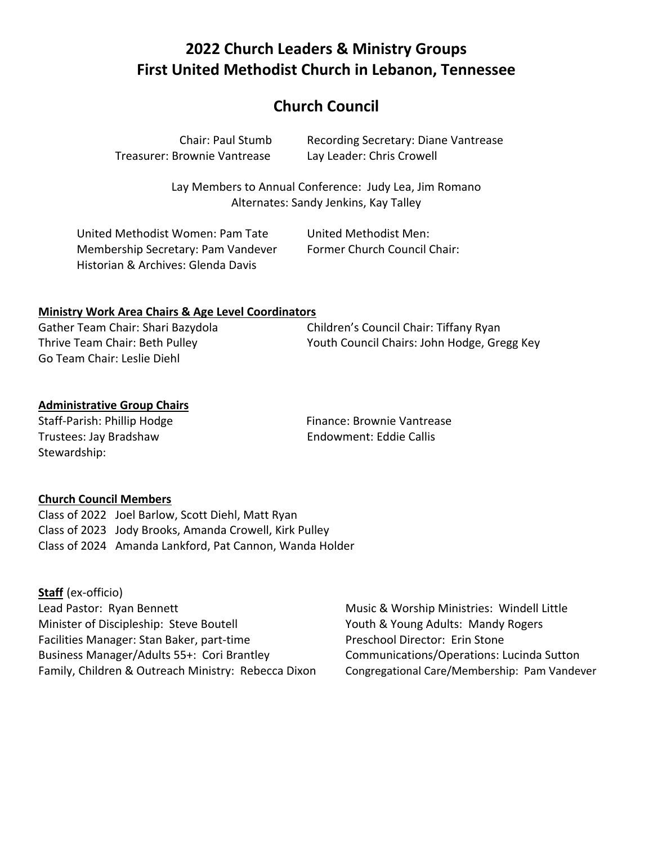# **2022 Church Leaders & Ministry Groups First United Methodist Church in Lebanon, Tennessee**

### **Church Council**

| <b>Chair: Paul Stumb</b>     | Re  |
|------------------------------|-----|
| Treasurer: Brownie Vantrease | Lay |

cording Secretary: Diane Vantrease v Leader: Chris Crowell

Lay Members to Annual Conference: Judy Lea, Jim Romano Alternates: Sandy Jenkins, Kay Talley

| United Methodist Women: Pam Tate   | United Methodist Men:        |
|------------------------------------|------------------------------|
| Membership Secretary: Pam Vandever | Former Church Council Chair: |
| Historian & Archives: Glenda Davis |                              |

#### **Ministry Work Area Chairs & Age Level Coordinators**

Gather Team Chair: Shari Bazydola Children's Council Chair: Tiffany Ryan Thrive Team Chair: Beth Pulley Youth Council Chairs: John Hodge, Gregg Key Go Team Chair: Leslie Diehl

### **Administrative Group Chairs**

Trustees: Jay Bradshaw Endowment: Eddie Callis Stewardship:

Staff-Parish: Phillip Hodge Finance: Brownie Vantrease

#### **Church Council Members**

Class of 2022 Joel Barlow, Scott Diehl, Matt Ryan Class of 2023 Jody Brooks, Amanda Crowell, Kirk Pulley Class of 2024 Amanda Lankford, Pat Cannon, Wanda Holder

**Staff** (ex-officio) Lead Pastor: Ryan Bennett **Music & Worship Ministries: Windell Little** Minister of Discipleship: Steve Boutell Youth & Young Adults: Mandy Rogers Facilities Manager: Stan Baker, part-time Preschool Director: Erin Stone Business Manager/Adults 55+: Cori Brantley Communications/Operations: Lucinda Sutton Family, Children & Outreach Ministry: Rebecca Dixon Congregational Care/Membership: Pam Vandever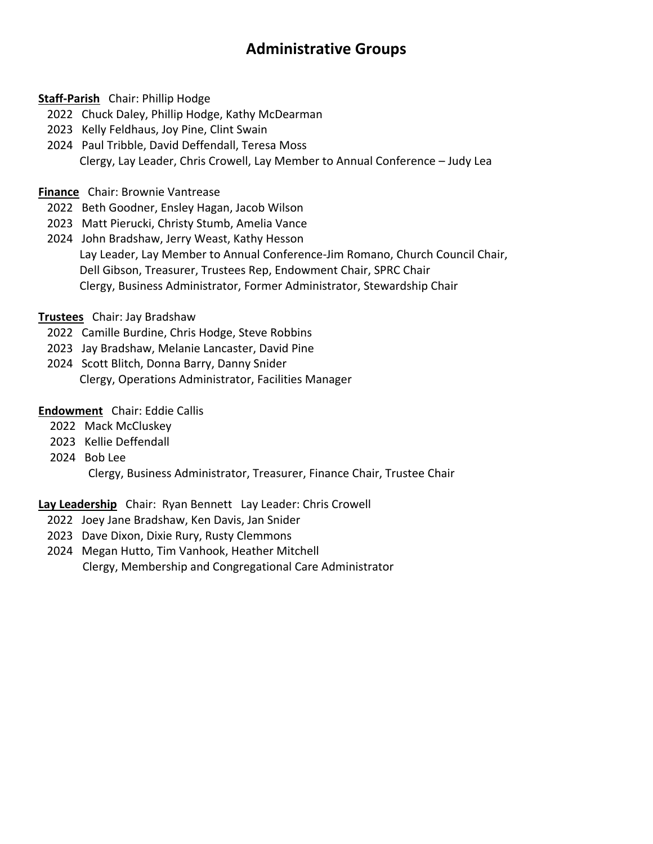# **Administrative Groups**

#### **Staff-Parish** Chair: Phillip Hodge

- 2022 Chuck Daley, Phillip Hodge, Kathy McDearman
- 2023 Kelly Feldhaus, Joy Pine, Clint Swain
- 2024 Paul Tribble, David Deffendall, Teresa Moss Clergy, Lay Leader, Chris Crowell, Lay Member to Annual Conference – Judy Lea

#### **Finance** Chair: Brownie Vantrease

- 2022 Beth Goodner, Ensley Hagan, Jacob Wilson
- 2023 Matt Pierucki, Christy Stumb, Amelia Vance
- 2024 John Bradshaw, Jerry Weast, Kathy Hesson Lay Leader, Lay Member to Annual Conference-Jim Romano, Church Council Chair, Dell Gibson, Treasurer, Trustees Rep, Endowment Chair, SPRC Chair Clergy, Business Administrator, Former Administrator, Stewardship Chair
- **Trustees** Chair: Jay Bradshaw
	- 2022 Camille Burdine, Chris Hodge, Steve Robbins
	- 2023 Jay Bradshaw, Melanie Lancaster, David Pine
	- 2024 Scott Blitch, Donna Barry, Danny Snider Clergy, Operations Administrator, Facilities Manager

#### **Endowment** Chair: Eddie Callis

- 2022 Mack McCluskey
- 2023 Kellie Deffendall
- 2024 Bob Lee

Clergy, Business Administrator, Treasurer, Finance Chair, Trustee Chair

#### **Lay Leadership** Chair: Ryan Bennett Lay Leader: Chris Crowell

- 2022 Joey Jane Bradshaw, Ken Davis, Jan Snider
- 2023 Dave Dixon, Dixie Rury, Rusty Clemmons
- 2024 Megan Hutto, Tim Vanhook, Heather Mitchell Clergy, Membership and Congregational Care Administrator